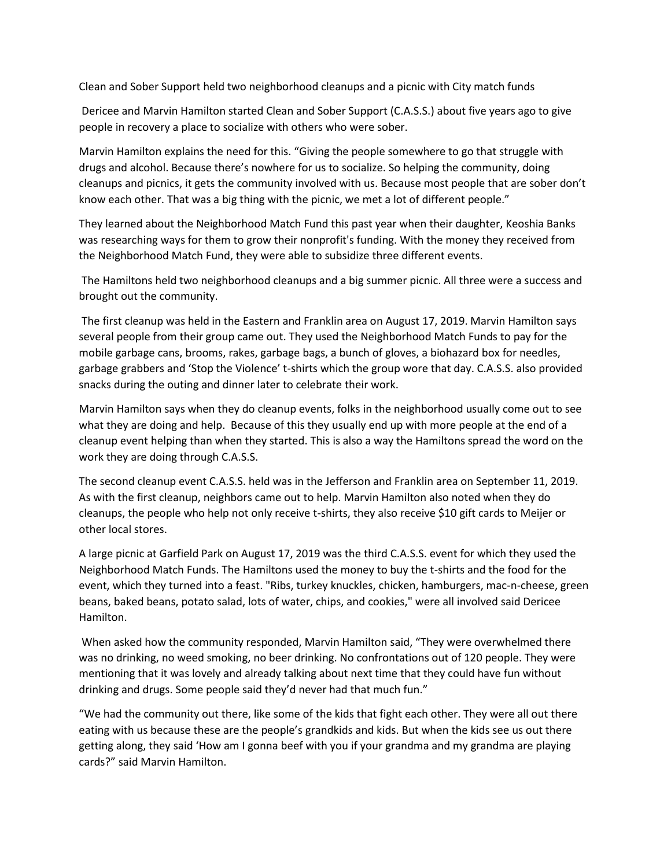Clean and Sober Support held two neighborhood cleanups and a picnic with City match funds

Dericee and Marvin Hamilton started Clean and Sober Support (C.A.S.S.) about five years ago to give people in recovery a place to socialize with others who were sober.

Marvin Hamilton explains the need for this. "Giving the people somewhere to go that struggle with drugs and alcohol. Because there's nowhere for us to socialize. So helping the community, doing cleanups and picnics, it gets the community involved with us. Because most people that are sober don't know each other. That was a big thing with the picnic, we met a lot of different people."

They learned about the Neighborhood Match Fund this past year when their daughter, Keoshia Banks was researching ways for them to grow their nonprofit's funding. With the money they received from the Neighborhood Match Fund, they were able to subsidize three different events.

The Hamiltons held two neighborhood cleanups and a big summer picnic. All three were a success and brought out the community.

The first cleanup was held in the Eastern and Franklin area on August 17, 2019. Marvin Hamilton says several people from their group came out. They used the Neighborhood Match Funds to pay for the mobile garbage cans, brooms, rakes, garbage bags, a bunch of gloves, a biohazard box for needles, garbage grabbers and 'Stop the Violence' t-shirts which the group wore that day. C.A.S.S. also provided snacks during the outing and dinner later to celebrate their work.

Marvin Hamilton says when they do cleanup events, folks in the neighborhood usually come out to see what they are doing and help. Because of this they usually end up with more people at the end of a cleanup event helping than when they started. This is also a way the Hamiltons spread the word on the work they are doing through C.A.S.S.

The second cleanup event C.A.S.S. held was in the Jefferson and Franklin area on September 11, 2019. As with the first cleanup, neighbors came out to help. Marvin Hamilton also noted when they do cleanups, the people who help not only receive t-shirts, they also receive \$10 gift cards to Meijer or other local stores.

A large picnic at Garfield Park on August 17, 2019 was the third C.A.S.S. event for which they used the Neighborhood Match Funds. The Hamiltons used the money to buy the t-shirts and the food for the event, which they turned into a feast. "Ribs, turkey knuckles, chicken, hamburgers, mac-n-cheese, green beans, baked beans, potato salad, lots of water, chips, and cookies," were all involved said Dericee Hamilton.

When asked how the community responded, Marvin Hamilton said, "They were overwhelmed there was no drinking, no weed smoking, no beer drinking. No confrontations out of 120 people. They were mentioning that it was lovely and already talking about next time that they could have fun without drinking and drugs. Some people said they'd never had that much fun."

"We had the community out there, like some of the kids that fight each other. They were all out there eating with us because these are the people's grandkids and kids. But when the kids see us out there getting along, they said 'How am I gonna beef with you if your grandma and my grandma are playing cards?" said Marvin Hamilton.